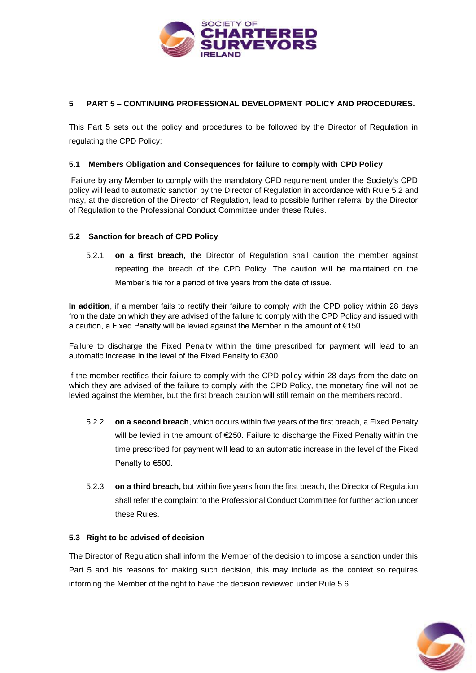

# **5 PART 5 – CONTINUING PROFESSIONAL DEVELOPMENT POLICY AND PROCEDURES.**

This Part 5 sets out the policy and procedures to be followed by the Director of Regulation in regulating the CPD Policy;

### **5.1 Members Obligation and Consequences for failure to comply with CPD Policy**

Failure by any Member to comply with the mandatory CPD requirement under the Society's CPD policy will lead to automatic sanction by the Director of Regulation in accordance with Rule 5.2 and may, at the discretion of the Director of Regulation, lead to possible further referral by the Director of Regulation to the Professional Conduct Committee under these Rules.

### **5.2 Sanction for breach of CPD Policy**

5.2.1 **on a first breach,** the Director of Regulation shall caution the member against repeating the breach of the CPD Policy. The caution will be maintained on the Member's file for a period of five years from the date of issue.

**In addition**, if a member fails to rectify their failure to comply with the CPD policy within 28 days from the date on which they are advised of the failure to comply with the CPD Policy and issued with a caution, a Fixed Penalty will be levied against the Member in the amount of €150.

Failure to discharge the Fixed Penalty within the time prescribed for payment will lead to an automatic increase in the level of the Fixed Penalty to €300.

If the member rectifies their failure to comply with the CPD policy within 28 days from the date on which they are advised of the failure to comply with the CPD Policy, the monetary fine will not be levied against the Member, but the first breach caution will still remain on the members record.

- 5.2.2 **on a second breach**, which occurs within five years of the first breach, a Fixed Penalty will be levied in the amount of €250. Failure to discharge the Fixed Penalty within the time prescribed for payment will lead to an automatic increase in the level of the Fixed Penalty to €500.
- 5.2.3 **on a third breach,** but within five years from the first breach, the Director of Regulation shall refer the complaint to the Professional Conduct Committee for further action under these Rules.

### **5.3 Right to be advised of decision**

The Director of Regulation shall inform the Member of the decision to impose a sanction under this Part 5 and his reasons for making such decision, this may include as the context so requires informing the Member of the right to have the decision reviewed under Rule 5.6.